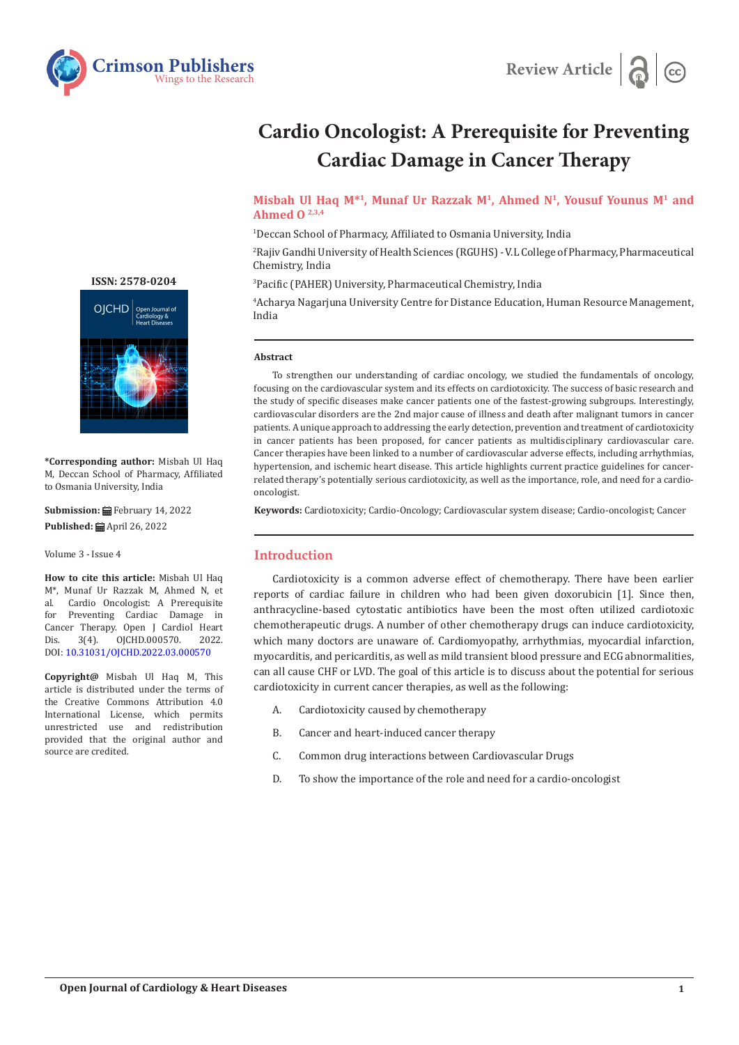



# **Cardio Oncologist: A Prerequisite for Preventing Cardiac Damage in Cancer Therapy**

**Misbah Ul Haq M\*1, Munaf Ur Razzak M1, Ahmed N1, Yousuf Younus M1 and Ahmed O 2,3,4**

1 Deccan School of Pharmacy, Affiliated to Osmania University, India

2 Rajiv Gandhi University of Health Sciences (RGUHS) - V.L College of Pharmacy, Pharmaceutical Chemistry, India

3 Pacific (PAHER) University, Pharmaceutical Chemistry, India

4 Acharya Nagarjuna University Centre for Distance Education, Human Resource Management, India

#### **Abstract**

To strengthen our understanding of cardiac oncology, we studied the fundamentals of oncology, focusing on the cardiovascular system and its effects on cardiotoxicity. The success of basic research and the study of specific diseases make cancer patients one of the fastest-growing subgroups. Interestingly, cardiovascular disorders are the 2nd major cause of illness and death after malignant tumors in cancer patients. A unique approach to addressing the early detection, prevention and treatment of cardiotoxicity in cancer patients has been proposed, for cancer patients as multidisciplinary cardiovascular care. Cancer therapies have been linked to a number of cardiovascular adverse effects, including arrhythmias, hypertension, and ischemic heart disease. This article highlights current practice guidelines for cancerrelated therapy's potentially serious cardiotoxicity, as well as the importance, role, and need for a cardiooncologist.

**Keywords:** Cardiotoxicity; Cardio-Oncology; Cardiovascular system disease; Cardio-oncologist; Cancer

### **Introduction**

Cardiotoxicity is a common adverse effect of chemotherapy. There have been earlier reports of cardiac failure in children who had been given doxorubicin [1]. Since then, anthracycline-based cytostatic antibiotics have been the most often utilized cardiotoxic chemotherapeutic drugs. A number of other chemotherapy drugs can induce cardiotoxicity, which many doctors are unaware of. Cardiomyopathy, arrhythmias, myocardial infarction, myocarditis, and pericarditis, as well as mild transient blood pressure and ECG abnormalities, can all cause CHF or LVD. The goal of this article is to discuss about the potential for serious cardiotoxicity in current cancer therapies, as well as the following:

- A. Cardiotoxicity caused by chemotherapy
- B. Cancer and heart-induced cancer therapy
- C. Common drug interactions between Cardiovascular Drugs
- D. To show the importance of the role and need for a cardio-oncologist

**[ISSN: 2578-0204](https://crimsonpublishers.com/ojchd)**



**\*Corresponding author:** Misbah Ul Haq M, Deccan School of Pharmacy, Affiliated to Osmania University, India

**Submission:** February 14, 2022 **Published:** April 26, 2022

Volume 3 - Issue 4

**How to cite this article:** Misbah Ul Haq M<sup>\*</sup>, Munaf Ur Razzak M, Ahmed N, et al. Cardio Oncologist: A Prerequisite al. Cardio Oncologist: A Prerequisite Preventing Cardiac Damage in Cancer Therapy. Open J Cardiol Heart<br>Dis. 3(4). 0JCHD.000570. 2022. 0JCHD.000570. DOI: [10.31031/OJCHD.2022.03.000570](http://dx.doi.org/10.31031/OJCHD.2022.03.000570)

**Copyright@** Misbah Ul Haq M, This article is distributed under the terms of the Creative Commons Attribution 4.0 International License, which permits unrestricted use and redistribution provided that the original author and source are credited.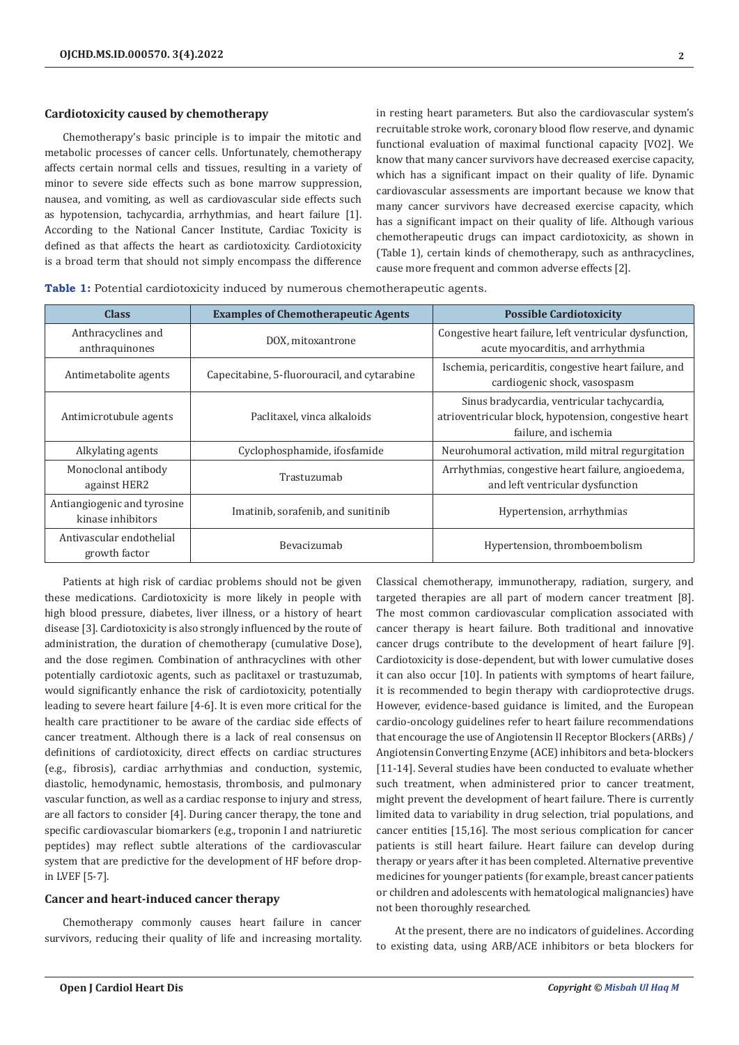#### **Cardiotoxicity caused by chemotherapy**

Chemotherapy's basic principle is to impair the mitotic and metabolic processes of cancer cells. Unfortunately, chemotherapy affects certain normal cells and tissues, resulting in a variety of minor to severe side effects such as bone marrow suppression, nausea, and vomiting, as well as cardiovascular side effects such as hypotension, tachycardia, arrhythmias, and heart failure [1]. According to the National Cancer Institute, Cardiac Toxicity is defined as that affects the heart as cardiotoxicity. Cardiotoxicity is a broad term that should not simply encompass the difference

in resting heart parameters. But also the cardiovascular system's recruitable stroke work, coronary blood flow reserve, and dynamic functional evaluation of maximal functional capacity [VO2]. We know that many cancer survivors have decreased exercise capacity, which has a significant impact on their quality of life. Dynamic cardiovascular assessments are important because we know that many cancer survivors have decreased exercise capacity, which has a significant impact on their quality of life. Although various chemotherapeutic drugs can impact cardiotoxicity, as shown in (Table 1), certain kinds of chemotherapy, such as anthracyclines, cause more frequent and common adverse effects [2].

**Table 1:** Potential cardiotoxicity induced by numerous chemotherapeutic agents.

| <b>Class</b>                                     | <b>Examples of Chemotherapeutic Agents</b>   | <b>Possible Cardiotoxicity</b>                                                                                                |
|--------------------------------------------------|----------------------------------------------|-------------------------------------------------------------------------------------------------------------------------------|
| Anthracyclines and<br>anthraquinones             | DOX, mitoxantrone                            | Congestive heart failure, left ventricular dysfunction,<br>acute myocarditis, and arrhythmia                                  |
| Antimetabolite agents                            | Capecitabine, 5-fluorouracil, and cytarabine | Ischemia, pericarditis, congestive heart failure, and<br>cardiogenic shock, vasospasm                                         |
| Antimicrotubule agents                           | Paclitaxel, vinca alkaloids                  | Sinus bradycardia, ventricular tachycardia,<br>atrioventricular block, hypotension, congestive heart<br>failure, and ischemia |
| Alkylating agents                                | Cyclophosphamide, ifosfamide                 | Neurohumoral activation, mild mitral regurgitation                                                                            |
| Monoclonal antibody<br>against HER2              | Trastuzumab                                  | Arrhythmias, congestive heart failure, angioedema,<br>and left ventricular dysfunction                                        |
| Antiangiogenic and tyrosine<br>kinase inhibitors | Imatinib, sorafenib, and sunitinib           | Hypertension, arrhythmias                                                                                                     |
| Antivascular endothelial<br>growth factor        | Bevacizumab                                  | Hypertension, thromboembolism                                                                                                 |

Patients at high risk of cardiac problems should not be given these medications. Cardiotoxicity is more likely in people with high blood pressure, diabetes, liver illness, or a history of heart disease [3]. Cardiotoxicity is also strongly influenced by the route of administration, the duration of chemotherapy (cumulative Dose), and the dose regimen. Combination of anthracyclines with other potentially cardiotoxic agents, such as paclitaxel or trastuzumab, would significantly enhance the risk of cardiotoxicity, potentially leading to severe heart failure [4-6]. It is even more critical for the health care practitioner to be aware of the cardiac side effects of cancer treatment. Although there is a lack of real consensus on definitions of cardiotoxicity, direct effects on cardiac structures (e.g., fibrosis), cardiac arrhythmias and conduction, systemic, diastolic, hemodynamic, hemostasis, thrombosis, and pulmonary vascular function, as well as a cardiac response to injury and stress, are all factors to consider [4]. During cancer therapy, the tone and specific cardiovascular biomarkers (e.g., troponin I and natriuretic peptides) may reflect subtle alterations of the cardiovascular system that are predictive for the development of HF before dropin LVEF [5-7].

#### **Cancer and heart-induced cancer therapy**

Chemotherapy commonly causes heart failure in cancer survivors, reducing their quality of life and increasing mortality. Classical chemotherapy, immunotherapy, radiation, surgery, and targeted therapies are all part of modern cancer treatment [8]. The most common cardiovascular complication associated with cancer therapy is heart failure. Both traditional and innovative cancer drugs contribute to the development of heart failure [9]. Cardiotoxicity is dose-dependent, but with lower cumulative doses it can also occur [10]. In patients with symptoms of heart failure, it is recommended to begin therapy with cardioprotective drugs. However, evidence-based guidance is limited, and the European cardio-oncology guidelines refer to heart failure recommendations that encourage the use of Angiotensin II Receptor Blockers (ARBs) / Angiotensin Converting Enzyme (ACE) inhibitors and beta-blockers [11-14]. Several studies have been conducted to evaluate whether such treatment, when administered prior to cancer treatment, might prevent the development of heart failure. There is currently limited data to variability in drug selection, trial populations, and cancer entities [15,16]. The most serious complication for cancer patients is still heart failure. Heart failure can develop during therapy or years after it has been completed. Alternative preventive medicines for younger patients (for example, breast cancer patients or children and adolescents with hematological malignancies) have not been thoroughly researched.

At the present, there are no indicators of guidelines. According to existing data, using ARB/ACE inhibitors or beta blockers for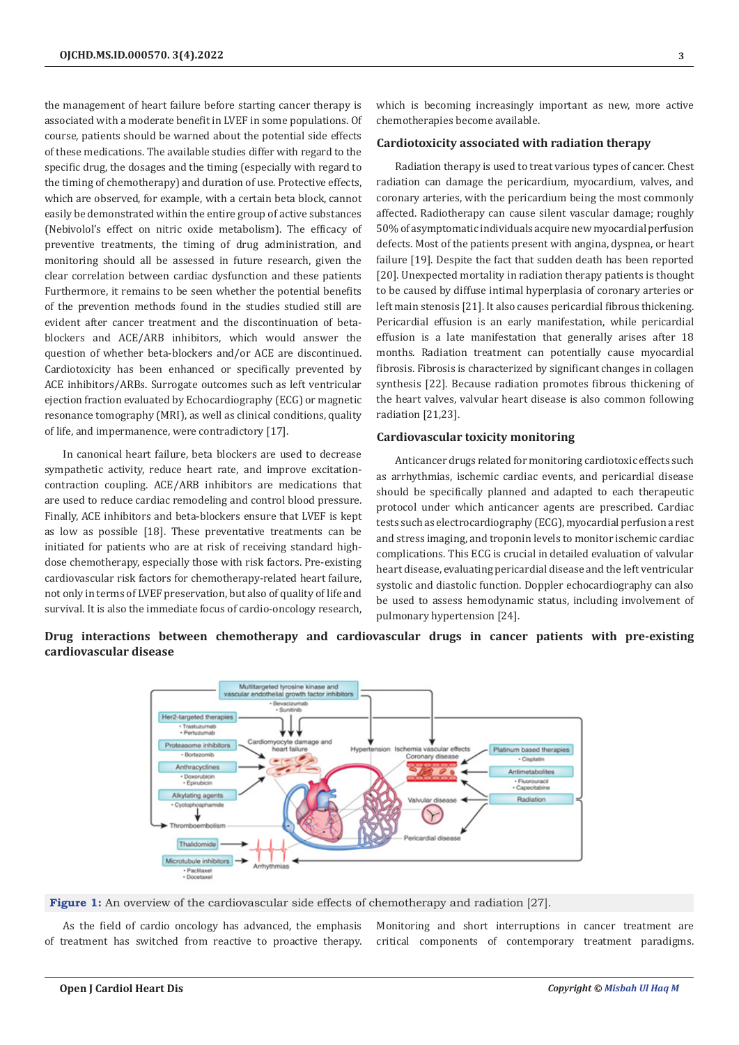the management of heart failure before starting cancer therapy is associated with a moderate benefit in LVEF in some populations. Of course, patients should be warned about the potential side effects of these medications. The available studies differ with regard to the specific drug, the dosages and the timing (especially with regard to the timing of chemotherapy) and duration of use. Protective effects, which are observed, for example, with a certain beta block, cannot easily be demonstrated within the entire group of active substances (Nebivolol's effect on nitric oxide metabolism). The efficacy of preventive treatments, the timing of drug administration, and monitoring should all be assessed in future research, given the clear correlation between cardiac dysfunction and these patients Furthermore, it remains to be seen whether the potential benefits of the prevention methods found in the studies studied still are evident after cancer treatment and the discontinuation of betablockers and ACE/ARB inhibitors, which would answer the question of whether beta-blockers and/or ACE are discontinued. Cardiotoxicity has been enhanced or specifically prevented by ACE inhibitors/ARBs. Surrogate outcomes such as left ventricular ejection fraction evaluated by Echocardiography (ECG) or magnetic resonance tomography (MRI), as well as clinical conditions, quality of life, and impermanence, were contradictory [17].

In canonical heart failure, beta blockers are used to decrease sympathetic activity, reduce heart rate, and improve excitationcontraction coupling. ACE/ARB inhibitors are medications that are used to reduce cardiac remodeling and control blood pressure. Finally, ACE inhibitors and beta-blockers ensure that LVEF is kept as low as possible [18]. These preventative treatments can be initiated for patients who are at risk of receiving standard highdose chemotherapy, especially those with risk factors. Pre-existing cardiovascular risk factors for chemotherapy-related heart failure, not only in terms of LVEF preservation, but also of quality of life and survival. It is also the immediate focus of cardio-oncology research,

which is becoming increasingly important as new, more active chemotherapies become available.

## **Cardiotoxicity associated with radiation therapy**

Radiation therapy is used to treat various types of cancer. Chest radiation can damage the pericardium, myocardium, valves, and coronary arteries, with the pericardium being the most commonly affected. Radiotherapy can cause silent vascular damage; roughly 50% of asymptomatic individuals acquire new myocardial perfusion defects. Most of the patients present with angina, dyspnea, or heart failure [19]. Despite the fact that sudden death has been reported [20]. Unexpected mortality in radiation therapy patients is thought to be caused by diffuse intimal hyperplasia of coronary arteries or left main stenosis [21]. It also causes pericardial fibrous thickening. Pericardial effusion is an early manifestation, while pericardial effusion is a late manifestation that generally arises after 18 months. Radiation treatment can potentially cause myocardial fibrosis. Fibrosis is characterized by significant changes in collagen synthesis [22]. Because radiation promotes fibrous thickening of the heart valves, valvular heart disease is also common following radiation [21,23].

#### **Cardiovascular toxicity monitoring**

Anticancer drugs related for monitoring cardiotoxic effects such as arrhythmias, ischemic cardiac events, and pericardial disease should be specifically planned and adapted to each therapeutic protocol under which anticancer agents are prescribed. Cardiac tests such as electrocardiography (ECG), myocardial perfusion a rest and stress imaging, and troponin levels to monitor ischemic cardiac complications. This ECG is crucial in detailed evaluation of valvular heart disease, evaluating pericardial disease and the left ventricular systolic and diastolic function. Doppler echocardiography can also be used to assess hemodynamic status, including involvement of pulmonary hypertension [24].

**Drug interactions between chemotherapy and cardiovascular drugs in cancer patients with pre-existing cardiovascular disease** 



**Figure 1:** An overview of the cardiovascular side effects of chemotherapy and radiation [27].

As the field of cardio oncology has advanced, the emphasis of treatment has switched from reactive to proactive therapy.

Monitoring and short interruptions in cancer treatment are critical components of contemporary treatment paradigms.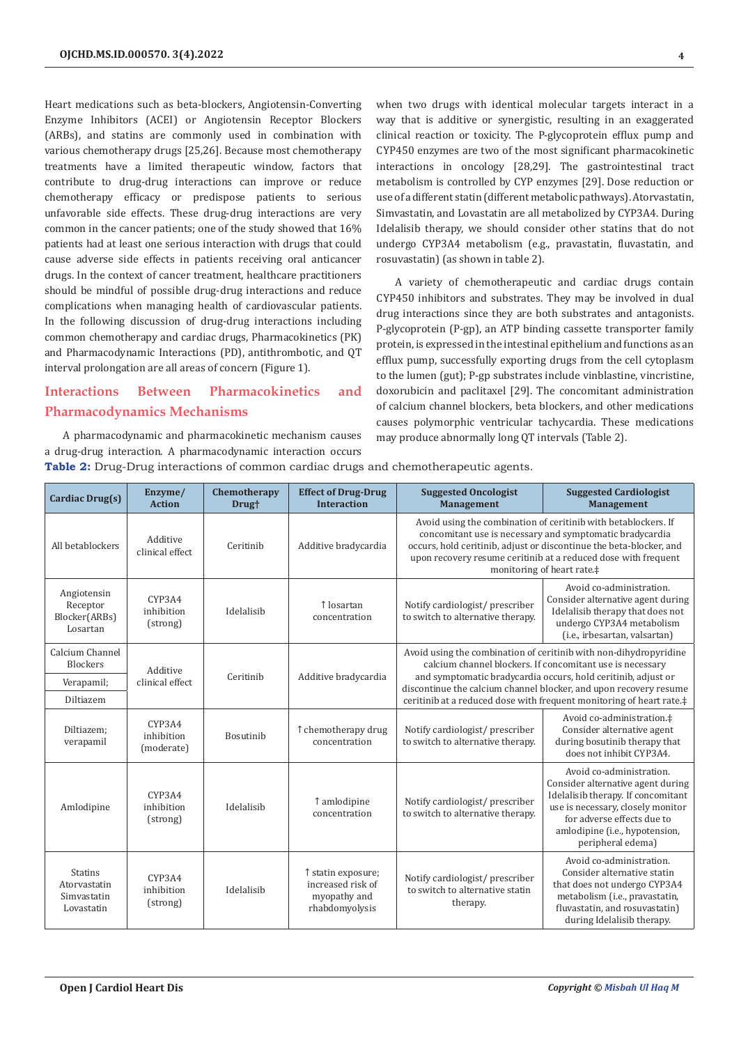Heart medications such as beta-blockers, Angiotensin-Converting Enzyme Inhibitors (ACEI) or Angiotensin Receptor Blockers (ARBs), and statins are commonly used in combination with various chemotherapy drugs [25,26]. Because most chemotherapy treatments have a limited therapeutic window, factors that contribute to drug-drug interactions can improve or reduce chemotherapy efficacy or predispose patients to serious unfavorable side effects. These drug-drug interactions are very common in the cancer patients; one of the study showed that 16% patients had at least one serious interaction with drugs that could cause adverse side effects in patients receiving oral anticancer drugs. In the context of cancer treatment, healthcare practitioners should be mindful of possible drug-drug interactions and reduce complications when managing health of cardiovascular patients. In the following discussion of drug-drug interactions including common chemotherapy and cardiac drugs, Pharmacokinetics (PK) and Pharmacodynamic Interactions (PD), antithrombotic, and QT interval prolongation are all areas of concern (Figure 1).

# **Interactions Between Pharmacokinetics and Pharmacodynamics Mechanisms**

A pharmacodynamic and pharmacokinetic mechanism causes a drug-drug interaction. A pharmacodynamic interaction occurs **Table 2:** Drug-Drug interactions of common cardiac drugs and chemotherapeutic agents.

when two drugs with identical molecular targets interact in a way that is additive or synergistic, resulting in an exaggerated clinical reaction or toxicity. The P-glycoprotein efflux pump and CYP450 enzymes are two of the most significant pharmacokinetic interactions in oncology [28,29]. The gastrointestinal tract metabolism is controlled by CYP enzymes [29]. Dose reduction or use of a different statin (different metabolic pathways). Atorvastatin, Simvastatin, and Lovastatin are all metabolized by CYP3A4. During Idelalisib therapy, we should consider other statins that do not undergo CYP3A4 metabolism (e.g., pravastatin, fluvastatin, and rosuvastatin) (as shown in table 2).

A variety of chemotherapeutic and cardiac drugs contain CYP450 inhibitors and substrates. They may be involved in dual drug interactions since they are both substrates and antagonists. P-glycoprotein (P-gp), an ATP binding cassette transporter family protein, is expressed in the intestinal epithelium and functions as an efflux pump, successfully exporting drugs from the cell cytoplasm to the lumen (gut); P-gp substrates include vinblastine, vincristine, doxorubicin and paclitaxel [29]. The concomitant administration of calcium channel blockers, beta blockers, and other medications causes polymorphic ventricular tachycardia. These medications may produce abnormally long QT intervals (Table 2).

| Cardiac Drug(s)                                             | Enzyme/<br><b>Action</b>           | Chemotherapy<br>Drug <sup>+</sup> | <b>Effect of Drug-Drug</b><br><b>Interaction</b>                          | <b>Suggested Oncologist</b><br>Management                                                                                          | <b>Suggested Cardiologist</b><br><b>Management</b>                                                                                                                                                                                                                                                |
|-------------------------------------------------------------|------------------------------------|-----------------------------------|---------------------------------------------------------------------------|------------------------------------------------------------------------------------------------------------------------------------|---------------------------------------------------------------------------------------------------------------------------------------------------------------------------------------------------------------------------------------------------------------------------------------------------|
| All betablockers                                            | Additive<br>clinical effect        | Ceritinib                         | Additive bradycardia                                                      |                                                                                                                                    | Avoid using the combination of ceritinib with betablockers. If<br>concomitant use is necessary and symptomatic bradycardia<br>occurs, hold ceritinib, adjust or discontinue the beta-blocker, and<br>upon recovery resume ceritinib at a reduced dose with frequent<br>monitoring of heart rate.‡ |
| Angiotensin<br>Receptor<br>Blocker(ARBs)<br>Losartan        | CYP3A4<br>inhibition<br>(strong)   | Idelalisib                        | ↑ losartan<br>concentration                                               | Notify cardiologist/ prescriber<br>to switch to alternative therapy.                                                               | Avoid co-administration.<br>Consider alternative agent during<br>Idelalisib therapy that does not<br>undergo CYP3A4 metabolism<br>(i.e., irbesartan, valsartan)                                                                                                                                   |
| Calcium Channel<br>Blockers                                 | Additive<br>clinical effect        |                                   |                                                                           | Avoid using the combination of ceritinib with non-dihydropyridine<br>calcium channel blockers. If concomitant use is necessary     |                                                                                                                                                                                                                                                                                                   |
| Verapamil;                                                  |                                    | Ceritinib                         | Additive bradycardia                                                      | and symptomatic bradycardia occurs, hold ceritinib, adjust or<br>discontinue the calcium channel blocker, and upon recovery resume |                                                                                                                                                                                                                                                                                                   |
| Diltiazem                                                   |                                    |                                   |                                                                           |                                                                                                                                    | ceritinib at a reduced dose with frequent monitoring of heart rate.#                                                                                                                                                                                                                              |
| Diltiazem:<br>verapamil                                     | CYP3A4<br>inhibition<br>(moderate) | Bosutinib                         | ↑ chemotherapy drug<br>concentration                                      | Notify cardiologist/ prescriber<br>to switch to alternative therapy.                                                               | Avoid co-administration.‡<br>Consider alternative agent<br>during bosutinib therapy that<br>does not inhibit CYP3A4.                                                                                                                                                                              |
| Amlodipine                                                  | CYP3A4<br>inhibition<br>(strong)   | Idelalisib                        | ↑ amlodipine<br>concentration                                             | Notify cardiologist/ prescriber<br>to switch to alternative therapy.                                                               | Avoid co-administration.<br>Consider alternative agent during<br>Idelalisib therapy. If concomitant<br>use is necessary, closely monitor<br>for adverse effects due to<br>amlodipine (i.e., hypotension,<br>peripheral edema)                                                                     |
| <b>Statins</b><br>Atorvastatin<br>Simvastatin<br>Lovastatin | CYP3A4<br>inhibition<br>(strong)   | Idelalisib                        | ↑ statin exposure;<br>increased risk of<br>myopathy and<br>rhabdomyolysis | Notify cardiologist/prescriber<br>to switch to alternative statin<br>therapy.                                                      | Avoid co-administration.<br>Consider alternative statin<br>that does not undergo CYP3A4<br>metabolism (i.e., pravastatin,<br>fluvastatin, and rosuvastatin)<br>during Idelalisib therapy.                                                                                                         |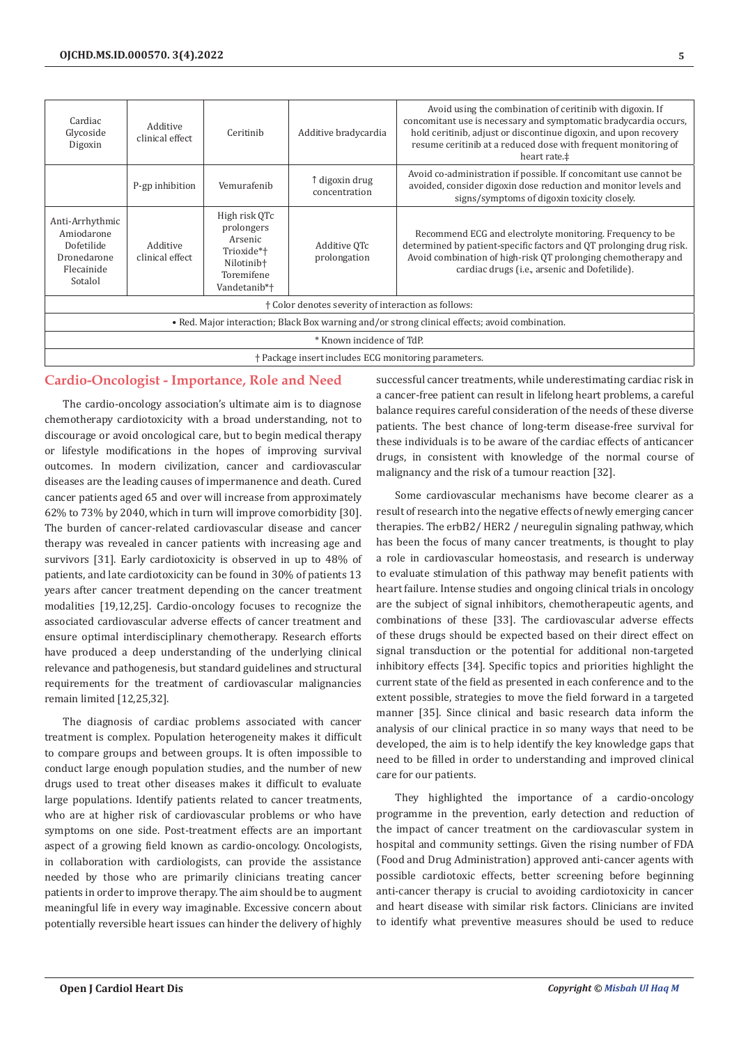| Cardiac<br>Glycoside<br>Digoxin                                                                | Additive<br>clinical effect | Ceritinib                                                                                                    | Additive bradycardia            | Avoid using the combination of ceritinib with digoxin. If<br>concomitant use is necessary and symptomatic bradycardia occurs,<br>hold ceritinib, adjust or discontinue digoxin, and upon recovery<br>resume ceritinib at a reduced dose with frequent monitoring of<br>heart rate.‡ |  |
|------------------------------------------------------------------------------------------------|-----------------------------|--------------------------------------------------------------------------------------------------------------|---------------------------------|-------------------------------------------------------------------------------------------------------------------------------------------------------------------------------------------------------------------------------------------------------------------------------------|--|
|                                                                                                | P-gp inhibition             | Vemurafenib                                                                                                  | ↑ digoxin drug<br>concentration | Avoid co-administration if possible. If concomitant use cannot be<br>avoided, consider digoxin dose reduction and monitor levels and<br>signs/symptoms of digoxin toxicity closely.                                                                                                 |  |
| Anti-Arrhythmic<br>Amiodarone<br>Dofetilide<br>Dronedarone<br>Flecainide<br>Sotalol            | Additive<br>clinical effect | High risk QTc<br>prolongers<br>Arsenic<br>Trioxide*†<br>Nilotinib <sup>+</sup><br>Toremifene<br>Vandetanib*† | Additive OTc<br>prolongation    | Recommend ECG and electrolyte monitoring. Frequency to be<br>determined by patient-specific factors and QT prolonging drug risk.<br>Avoid combination of high-risk QT prolonging chemotherapy and<br>cardiac drugs (i.e., arsenic and Dofetilide).                                  |  |
| † Color denotes severity of interaction as follows:                                            |                             |                                                                                                              |                                 |                                                                                                                                                                                                                                                                                     |  |
| • Red. Major interaction; Black Box warning and/or strong clinical effects; avoid combination. |                             |                                                                                                              |                                 |                                                                                                                                                                                                                                                                                     |  |
| * Known incidence of TdP.                                                                      |                             |                                                                                                              |                                 |                                                                                                                                                                                                                                                                                     |  |
| † Package insert includes ECG monitoring parameters.                                           |                             |                                                                                                              |                                 |                                                                                                                                                                                                                                                                                     |  |

# **Cardio-Oncologist - Importance, Role and Need**

The cardio-oncology association's ultimate aim is to diagnose chemotherapy cardiotoxicity with a broad understanding, not to discourage or avoid oncological care, but to begin medical therapy or lifestyle modifications in the hopes of improving survival outcomes. In modern civilization, cancer and cardiovascular diseases are the leading causes of impermanence and death. Cured cancer patients aged 65 and over will increase from approximately 62% to 73% by 2040, which in turn will improve comorbidity [30]. The burden of cancer-related cardiovascular disease and cancer therapy was revealed in cancer patients with increasing age and survivors [31]. Early cardiotoxicity is observed in up to 48% of patients, and late cardiotoxicity can be found in 30% of patients 13 years after cancer treatment depending on the cancer treatment modalities [19,12,25]. Cardio-oncology focuses to recognize the associated cardiovascular adverse effects of cancer treatment and ensure optimal interdisciplinary chemotherapy. Research efforts have produced a deep understanding of the underlying clinical relevance and pathogenesis, but standard guidelines and structural requirements for the treatment of cardiovascular malignancies remain limited [12,25,32].

The diagnosis of cardiac problems associated with cancer treatment is complex. Population heterogeneity makes it difficult to compare groups and between groups. It is often impossible to conduct large enough population studies, and the number of new drugs used to treat other diseases makes it difficult to evaluate large populations. Identify patients related to cancer treatments, who are at higher risk of cardiovascular problems or who have symptoms on one side. Post-treatment effects are an important aspect of a growing field known as cardio-oncology. Oncologists, in collaboration with cardiologists, can provide the assistance needed by those who are primarily clinicians treating cancer patients in order to improve therapy. The aim should be to augment meaningful life in every way imaginable. Excessive concern about potentially reversible heart issues can hinder the delivery of highly

successful cancer treatments, while underestimating cardiac risk in a cancer-free patient can result in lifelong heart problems, a careful balance requires careful consideration of the needs of these diverse patients. The best chance of long-term disease-free survival for these individuals is to be aware of the cardiac effects of anticancer drugs, in consistent with knowledge of the normal course of malignancy and the risk of a tumour reaction [32].

Some cardiovascular mechanisms have become clearer as a result of research into the negative effects of newly emerging cancer therapies. The erbB2/ HER2 / neuregulin signaling pathway, which has been the focus of many cancer treatments, is thought to play a role in cardiovascular homeostasis, and research is underway to evaluate stimulation of this pathway may benefit patients with heart failure. Intense studies and ongoing clinical trials in oncology are the subject of signal inhibitors, chemotherapeutic agents, and combinations of these [33]. The cardiovascular adverse effects of these drugs should be expected based on their direct effect on signal transduction or the potential for additional non-targeted inhibitory effects [34]. Specific topics and priorities highlight the current state of the field as presented in each conference and to the extent possible, strategies to move the field forward in a targeted manner [35]. Since clinical and basic research data inform the analysis of our clinical practice in so many ways that need to be developed, the aim is to help identify the key knowledge gaps that need to be filled in order to understanding and improved clinical care for our patients.

They highlighted the importance of a cardio-oncology programme in the prevention, early detection and reduction of the impact of cancer treatment on the cardiovascular system in hospital and community settings. Given the rising number of FDA (Food and Drug Administration) approved anti-cancer agents with possible cardiotoxic effects, better screening before beginning anti-cancer therapy is crucial to avoiding cardiotoxicity in cancer and heart disease with similar risk factors. Clinicians are invited to identify what preventive measures should be used to reduce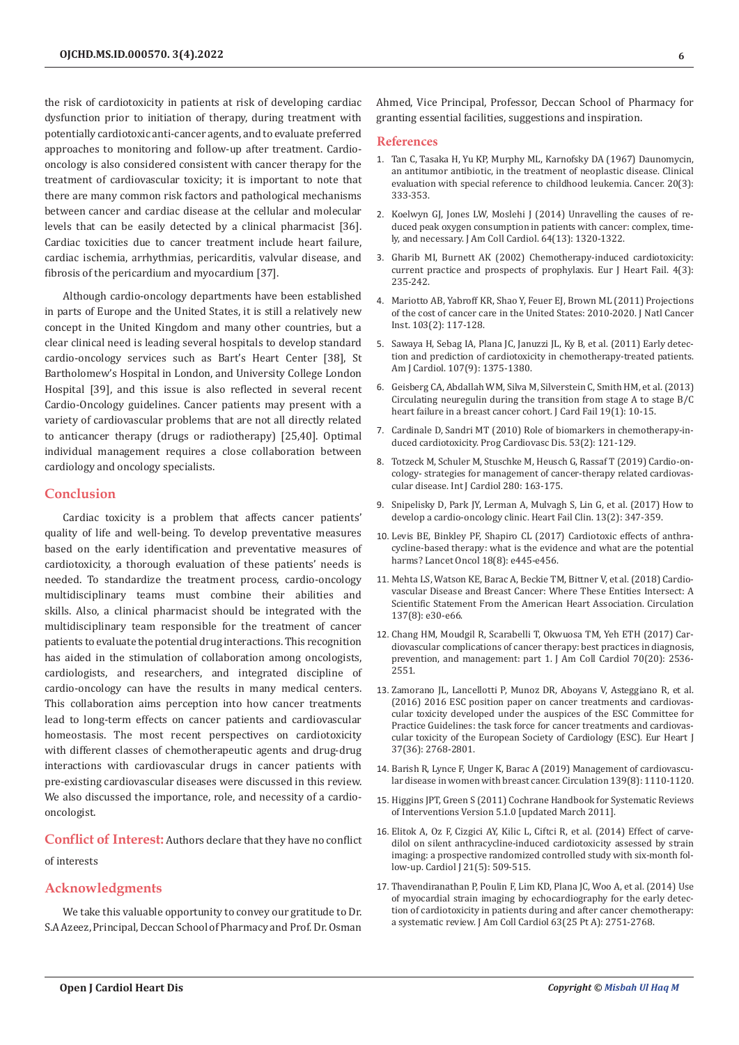the risk of cardiotoxicity in patients at risk of developing cardiac dysfunction prior to initiation of therapy, during treatment with potentially cardiotoxic anti-cancer agents, and to evaluate preferred approaches to monitoring and follow-up after treatment. Cardiooncology is also considered consistent with cancer therapy for the treatment of cardiovascular toxicity; it is important to note that there are many common risk factors and pathological mechanisms between cancer and cardiac disease at the cellular and molecular levels that can be easily detected by a clinical pharmacist [36]. Cardiac toxicities due to cancer treatment include heart failure, cardiac ischemia, arrhythmias, pericarditis, valvular disease, and fibrosis of the pericardium and myocardium [37].

Although cardio-oncology departments have been established in parts of Europe and the United States, it is still a relatively new concept in the United Kingdom and many other countries, but a clear clinical need is leading several hospitals to develop standard cardio-oncology services such as Bart's Heart Center [38], St Bartholomew's Hospital in London, and University College London Hospital [39], and this issue is also reflected in several recent Cardio-Oncology guidelines. Cancer patients may present with a variety of cardiovascular problems that are not all directly related to anticancer therapy (drugs or radiotherapy) [25,40]. Optimal individual management requires a close collaboration between cardiology and oncology specialists.

#### **Conclusion**

Cardiac toxicity is a problem that affects cancer patients' quality of life and well-being. To develop preventative measures based on the early identification and preventative measures of cardiotoxicity, a thorough evaluation of these patients' needs is needed. To standardize the treatment process, cardio-oncology multidisciplinary teams must combine their abilities and skills. Also, a clinical pharmacist should be integrated with the multidisciplinary team responsible for the treatment of cancer patients to evaluate the potential drug interactions. This recognition has aided in the stimulation of collaboration among oncologists, cardiologists, and researchers, and integrated discipline of cardio-oncology can have the results in many medical centers. This collaboration aims perception into how cancer treatments lead to long-term effects on cancer patients and cardiovascular homeostasis. The most recent perspectives on cardiotoxicity with different classes of chemotherapeutic agents and drug-drug interactions with cardiovascular drugs in cancer patients with pre-existing cardiovascular diseases were discussed in this review. We also discussed the importance, role, and necessity of a cardiooncologist.

**Conflict of Interest:** Authors declare that they have no conflict of interests

# **Acknowledgments**

We take this valuable opportunity to convey our gratitude to Dr. S.A Azeez, Principal, Deccan School of Pharmacy and Prof. Dr. Osman

Ahmed, Vice Principal, Professor, Deccan School of Pharmacy for granting essential facilities, suggestions and inspiration.

#### **References**

- 1. [Tan C, Tasaka H, Yu KP, Murphy ML, Karnofsky DA \(1967\) Daunomycin,](https://pubmed.ncbi.nlm.nih.gov/4290058/) [an antitumor antibiotic, in the treatment of neoplastic disease. Clinical](https://pubmed.ncbi.nlm.nih.gov/4290058/) [evaluation with special reference to childhood leukemia. Cancer. 20\(3\):](https://pubmed.ncbi.nlm.nih.gov/4290058/) [333-353.](https://pubmed.ncbi.nlm.nih.gov/4290058/)
- 2. [Koelwyn GJ, Jones LW, Moslehi J \(2014\) Unravelling the causes of re](https://pubmed.ncbi.nlm.nih.gov/25257632/)[duced peak oxygen consumption in patients with cancer: complex, time](https://pubmed.ncbi.nlm.nih.gov/25257632/)[ly, and necessary. J Am Coll Cardiol. 64\(13\): 1320-1322.](https://pubmed.ncbi.nlm.nih.gov/25257632/)
- 3. [Gharib MI, Burnett AK \(2002\) Chemotherapy-induced cardiotoxicity:](https://pubmed.ncbi.nlm.nih.gov/12034146/) [current practice and prospects of prophylaxis. Eur J Heart Fail. 4\(3\):](https://pubmed.ncbi.nlm.nih.gov/12034146/) [235-242.](https://pubmed.ncbi.nlm.nih.gov/12034146/)
- 4. [Mariotto AB, Yabroff KR, Shao Y, Feuer EJ, Brown ML \(2011\) Projections](https://pubmed.ncbi.nlm.nih.gov/21228314/) [of the cost of cancer care in the United States: 2010-2020. J Natl Cancer](https://pubmed.ncbi.nlm.nih.gov/21228314/) [Inst. 103\(2\): 117-128.](https://pubmed.ncbi.nlm.nih.gov/21228314/)
- 5. [Sawaya H, Sebag IA, Plana JC, Januzzi JL, Ky B, et al. \(2011\) Early detec](https://pubmed.ncbi.nlm.nih.gov/21371685/)[tion and prediction of cardiotoxicity in chemotherapy-treated patients.](https://pubmed.ncbi.nlm.nih.gov/21371685/) [Am J Cardiol. 107\(9\): 1375-1380.](https://pubmed.ncbi.nlm.nih.gov/21371685/)
- 6. [Geisberg CA, Abdallah WM, Silva M, Silverstein C, Smith HM, et al. \(2013\)](https://pubmed.ncbi.nlm.nih.gov/23273589/) [Circulating neuregulin during the transition from stage A to stage B/C](https://pubmed.ncbi.nlm.nih.gov/23273589/) [heart failure in a breast cancer cohort. J Card Fail 19\(1\): 10-15.](https://pubmed.ncbi.nlm.nih.gov/23273589/)
- 7. [Cardinale D, Sandri MT \(2010\) Role of biomarkers in chemotherapy-in](https://pubmed.ncbi.nlm.nih.gov/20728699/)[duced cardiotoxicity. Prog Cardiovasc Dis. 53\(2\): 121-129.](https://pubmed.ncbi.nlm.nih.gov/20728699/)
- 8. [Totzeck M, Schuler M, Stuschke M, Heusch G, Rassaf T \(2019\) Cardio-on](https://pubmed.ncbi.nlm.nih.gov/30661849/)[cology- strategies for management of cancer-therapy related cardiovas](https://pubmed.ncbi.nlm.nih.gov/30661849/)[cular disease. Int J Cardiol 280: 163-175.](https://pubmed.ncbi.nlm.nih.gov/30661849/)
- 9. [Snipelisky D, Park JY, Lerman A, Mulvagh S, Lin G, et al. \(2017\) How to](https://pubmed.ncbi.nlm.nih.gov/28279420/) [develop a cardio-oncology clinic. Heart Fail Clin. 13\(2\): 347-359.](https://pubmed.ncbi.nlm.nih.gov/28279420/)
- 10. [Levis BE, Binkley PF, Shapiro CL \(2017\) Cardiotoxic effects of anthra](https://pubmed.ncbi.nlm.nih.gov/28759384/)[cycline-based therapy: what is the evidence and what are the potential](https://pubmed.ncbi.nlm.nih.gov/28759384/) [harms? Lancet Oncol 18\(8\): e445-e456.](https://pubmed.ncbi.nlm.nih.gov/28759384/)
- 11. [Mehta LS, Watson KE, Barac A, Beckie TM, Bittner V, et al. \(2018\) Cardio](https://pubmed.ncbi.nlm.nih.gov/29437116/)[vascular Disease and Breast Cancer: Where These Entities Intersect: A](https://pubmed.ncbi.nlm.nih.gov/29437116/) [Scientific Statement From the American Heart Association. Circulation](https://pubmed.ncbi.nlm.nih.gov/29437116/) [137\(8\): e30-e66.](https://pubmed.ncbi.nlm.nih.gov/29437116/)
- 12. [Chang HM, Moudgil R, Scarabelli T, Okwuosa TM, Yeh ETH \(2017\) Car](https://pubmed.ncbi.nlm.nih.gov/29145954/)[diovascular complications of cancer therapy: best practices in diagnosis,](https://pubmed.ncbi.nlm.nih.gov/29145954/) [prevention, and management: part 1. J Am Coll Cardiol 70\(20\): 2536-](https://pubmed.ncbi.nlm.nih.gov/29145954/) [2551.](https://pubmed.ncbi.nlm.nih.gov/29145954/)
- 13. [Zamorano JL, Lancellotti P, Munoz DR, Aboyans V, Asteggiano R, et al.](https://pubmed.ncbi.nlm.nih.gov/27567406/) [\(2016\) 2016 ESC position paper on cancer treatments and cardiovas](https://pubmed.ncbi.nlm.nih.gov/27567406/)[cular toxicity developed under the auspices of the ESC Committee for](https://pubmed.ncbi.nlm.nih.gov/27567406/) [Practice Guidelines: the task force for cancer treatments and cardiovas](https://pubmed.ncbi.nlm.nih.gov/27567406/)[cular toxicity of the European Society of Cardiology \(ESC\). Eur Heart J](https://pubmed.ncbi.nlm.nih.gov/27567406/) [37\(36\): 2768-2801.](https://pubmed.ncbi.nlm.nih.gov/27567406/)
- 14. [Barish R, Lynce F, Unger K, Barac A \(2019\) Management of cardiovascu](https://pubmed.ncbi.nlm.nih.gov/30779651/)[lar disease in women with breast cancer. Circulation 139\(8\): 1110-1120.](https://pubmed.ncbi.nlm.nih.gov/30779651/)
- 15. Higgins JPT, Green S (2011) Cochrane Handbook for Systematic Reviews of Interventions Version 5.1.0 [updated March 2011].
- 16. [Elitok A, Oz F, Cizgici AY, Kilic L, Ciftci R, et al. \(2014\) Effect of carve](https://pubmed.ncbi.nlm.nih.gov/24142687/)[dilol on silent anthracycline-induced cardiotoxicity assessed by strain](https://pubmed.ncbi.nlm.nih.gov/24142687/) [imaging: a prospective randomized controlled study with six-month fol](https://pubmed.ncbi.nlm.nih.gov/24142687/)[low-up. Cardiol J 21\(5\): 509-515.](https://pubmed.ncbi.nlm.nih.gov/24142687/)
- 17. [Thavendiranathan P, Poulin F, Lim KD, Plana JC, Woo A, et al. \(2014\) Use](https://pubmed.ncbi.nlm.nih.gov/24703918/) [of myocardial strain imaging by echocardiography for the early detec](https://pubmed.ncbi.nlm.nih.gov/24703918/)[tion of cardiotoxicity in patients during and after cancer chemotherapy:](https://pubmed.ncbi.nlm.nih.gov/24703918/) [a systematic review. J Am Coll Cardiol 63\(25 Pt A\): 2751-2768.](https://pubmed.ncbi.nlm.nih.gov/24703918/)